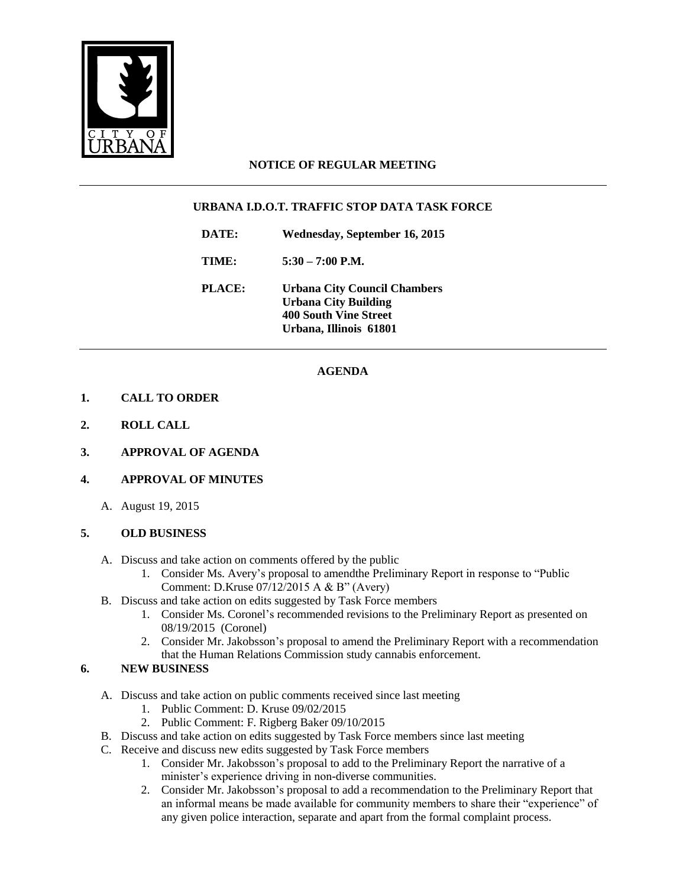

# **NOTICE OF REGULAR MEETING**

## **URBANA I.D.O.T. TRAFFIC STOP DATA TASK FORCE**

**DATE: Wednesday, September 16, 2015**

**TIME: 5:30 – 7:00 P.M.**

**PLACE: Urbana City Council Chambers Urbana City Building 400 South Vine Street Urbana, Illinois 61801**

## **AGENDA**

### **1. CALL TO ORDER**

- **2. ROLL CALL**
- **3. APPROVAL OF AGENDA**

#### **4. APPROVAL OF MINUTES**

A. August 19, 2015

#### **5. OLD BUSINESS**

- A. Discuss and take action on comments offered by the public
	- 1. Consider Ms. Avery's proposal to amendthe Preliminary Report in response to "Public Comment: D.Kruse 07/12/2015 A & B" (Avery)
- B. Discuss and take action on edits suggested by Task Force members
	- 1. Consider Ms. Coronel's recommended revisions to the Preliminary Report as presented on 08/19/2015 (Coronel)
	- 2. Consider Mr. Jakobsson's proposal to amend the Preliminary Report with a recommendation that the Human Relations Commission study cannabis enforcement.

#### **6. NEW BUSINESS**

- A. Discuss and take action on public comments received since last meeting
	- 1. Public Comment: D. Kruse 09/02/2015
	- 2. Public Comment: F. Rigberg Baker 09/10/2015
- B. Discuss and take action on edits suggested by Task Force members since last meeting
- C. Receive and discuss new edits suggested by Task Force members
	- 1. Consider Mr. Jakobsson's proposal to add to the Preliminary Report the narrative of a minister's experience driving in non-diverse communities.
	- 2. Consider Mr. Jakobsson's proposal to add a recommendation to the Preliminary Report that an informal means be made available for community members to share their "experience" of any given police interaction, separate and apart from the formal complaint process.